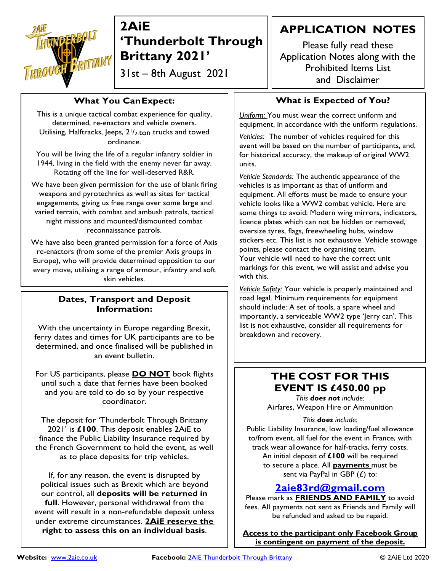

31st – 8th August 2021

#### **What You CanExpect:**

This is a unique tactical combat experience for quality, determined, re-enactors and vehicle owners. Utilising, Halftracks, Jeeps,  $2^{1/2}$ -ton trucks and towed ordinance.

You will be living the life of a regular infantry soldier in 1944, living in the field with the enemy never far away. Rotating off the line for well-deserved R&R.

We have been given permission for the use of blank firing weapons and pyrotechnics as well as sites for tactical engagements, giving us free range over some large and varied terrain, with combat and ambush patrols, tactical night missions and mounted/dismounted combat reconnaissance patrols.

We have also been granted permission for a force of Axis re-enactors (from some of the premier Axis groups in Europe), who will provide determined opposition to our every move, utilising a range of armour, infantry and soft skin vehicles.

#### **Dates, Transport and Deposit Information:**

With the uncertainty in Europe regarding Brexit, ferry dates and times for UK participants are to be determined, and once finalised will be published in an event bulletin.

For US participants, please **DO NOT** book flights until such a date that ferries have been booked and you are told to do so by your respective coordinator.

The deposit for 'Thunderbolt Through Brittany 2021' is **£100**. This deposit enables 2AiE to finance the Public Liability Insurance required by the French Government to hold the event, as well as to place deposits for trip vehicles.

If, for any reason, the event is disrupted by political issues such as Brexit which are beyond our control, all **deposits will be returned in full**. However, personal withdrawal from the event will result in a non-refundable deposit unless under extreme circumstances. **2AiE reserve the right to assess this on an individual basis**.

### **APPLICATION NOTES**

Please fully read these Application Notes along with the Prohibited Items List and Disclaimer

### **What is Expected of You?**

*Uniform:* You must wear the correct uniform and equipment, in accordance with the uniform regulations.

*Vehicles:* The number of vehicles required for this event will be based on the number of participants, and, for historical accuracy, the makeup of original WW2 units.

*Vehicle Standards:* The authentic appearance of the vehicles is as important as that of uniform and equipment. All efforts must be made to ensure your vehicle looks like a WW2 combat vehicle. Here are some things to avoid: Modern wing mirrors, indicators, licence plates which can not be hidden or removed, oversize tyres, flags, freewheeling hubs, window stickers etc. This list is not exhaustive. Vehicle stowage points, please contact the organising team. Your vehicle will need to have the correct unit markings for this event, we will assist and advise you with this.

*Vehicle Safety:* Your vehicle is properly maintained and road legal. Minimum requirements for equipment should include: A set of tools, a spare wheel and importantly, a serviceable WW2 type 'Jerry can'. This list is not exhaustive, consider all requirements for breakdown and recovery.

### **THE COST FOR THIS EVENT IS £450.00 pp**

*This does not include:* Airfares, Weapon Hire or Ammunition

#### *This does include:*

Public Liability Insurance, low loading/fuel allowance to/from event, all fuel for the event in France, with track wear allowance for half-tracks, ferry costs. An initial deposit of **£100** will be required to secure a place. All **payments** must be sent via PayPal in GBP  $(E)$  to:

### **[2aie83rd@gmail.com](mailto:2aie83rd@gmail.com)**

Please mark as **FRIENDS AND FAMILY** to avoid fees. All payments not sent as Friends and Family will be refunded and asked to be repaid.

**Access to the participant only Facebook Group is contingent on payment of the deposit.**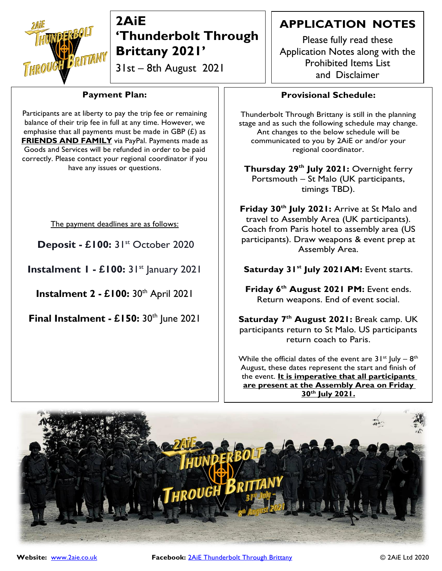

31st – 8th August 2021

### **Payment Plan:**

Participants are at liberty to pay the trip fee or remaining balance of their trip fee in full at any time. However, we emphasise that all payments must be made in GBP  $(E)$  as **FRIENDS AND FAMILY** via PayPal. Payments made as Goods and Services will be refunded in order to be paid correctly. Please contact your regional coordinator if you have any issues or questions.

The payment deadlines are as follows:

**Deposit - £100:** 31st October 2020

**Instalment 1 - £100:** 31st January 2021

**Instalment 2 - £100:** 30th April 2021

**Final Instalment - £150:** 30th June 2021

### **APPLICATION NOTES**

Please fully read these Application Notes along with the Prohibited Items List and Disclaimer

### **Provisional Schedule:**

Thunderbolt Through Brittany is still in the planning stage and as such the following schedule may change. Ant changes to the below schedule will be communicated to you by 2AiE or and/or your regional coordinator.

**Thursday 29th July 2021:** Overnight ferry Portsmouth – St Malo (UK participants, timings TBD).

**Friday 30th July 2021:** Arrive at St Malo and travel to Assembly Area (UK participants). Coach from Paris hotel to assembly area (US participants). Draw weapons & event prep at Assembly Area.

**Saturday 31st July 2021AM:** Event starts.

**Friday 6 th August 2021 PM:** Event ends. Return weapons. End of event social.

**Saturday 7 th August 2021:** Break camp. UK participants return to St Malo. US participants return coach to Paris.

While the official dates of the event are  $31^{st}$  July –  $8^{th}$ August, these dates represent the start and finish of the event. **It is imperative that all participants are present at the Assembly Area on Friday 30th July 2021.**

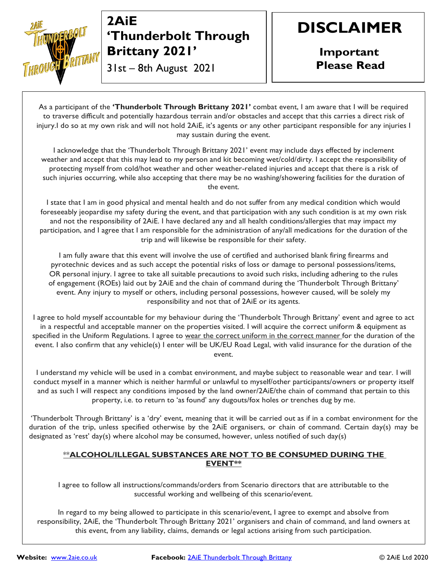

31st – 8th August 2021

# **DISCLAIMER**

**Important Please Read**

As a participant of the **'Thunderbolt Through Brittany 2021'** combat event, I am aware that I will be required to traverse difficult and potentially hazardous terrain and/or obstacles and accept that this carries a direct risk of injury.I do so at my own risk and will not hold 2AiE, it's agents or any other participant responsible for any injuries I may sustain during the event.

I acknowledge that the 'Thunderbolt Through Brittany 2021' event may include days effected by inclement weather and accept that this may lead to my person and kit becoming wet/cold/dirty. I accept the responsibility of protecting myself from cold/hot weather and other weather-related injuries and accept that there is a risk of such injuries occurring, while also accepting that there may be no washing/showering facilities for the duration of the event.

I state that I am in good physical and mental health and do not suffer from any medical condition which would foreseeably jeopardise my safety during the event, and that participation with any such condition is at my own risk and not the responsibility of 2AiE. I have declared any and all health conditions/allergies that may impact my participation, and I agree that I am responsible for the administration of any/all medications for the duration of the trip and will likewise be responsible for their safety.

I am fully aware that this event will involve the use of certified and authorised blank firing firearms and pyrotechnic devices and as such accept the potential risks of loss or damage to personal possessions/items, OR personal injury. I agree to take all suitable precautions to avoid such risks, including adhering to the rules of engagement (ROEs) laid out by 2AiE and the chain of command during the 'Thunderbolt Through Brittany' event. Any injury to myself or others, including personal possessions, however caused, will be solely my responsibility and not that of 2AiE or its agents.

I agree to hold myself accountable for my behaviour during the 'Thunderbolt Through Brittany' event and agree to act in a respectful and acceptable manner on the properties visited. I will acquire the correct uniform & equipment as specified in the Uniform Regulations. I agree to wear the correct uniform in the correct manner for the duration of the event. I also confirm that any vehicle(s) I enter will be UK/EU Road Legal, with valid insurance for the duration of the event.

I understand my vehicle will be used in a combat environment, and maybe subject to reasonable wear and tear. I will conduct myself in a manner which is neither harmful or unlawful to myself/other participants/owners or property itself and as such I will respect any conditions imposed by the land owner/2AiE/the chain of command that pertain to this property, i.e. to return to 'as found' any dugouts/fox holes or trenches dug by me.

'Thunderbolt Through Brittany' is a 'dry' event, meaning that it will be carried out as if in a combat environment for the duration of the trip, unless specified otherwise by the 2AiE organisers, or chain of command. Certain day(s) may be designated as 'rest' day(s) where alcohol may be consumed, however, unless notified of such day(s)

#### \*\***ALCOHOL/ILLEGAL SUBSTANCES ARE NOT TO BE CONSUMED DURING THE EVENT\*\***

I agree to follow all instructions/commands/orders from Scenario directors that are attributable to the successful working and wellbeing of this scenario/event.

In regard to my being allowed to participate in this scenario/event, I agree to exempt and absolve from responsibility, 2AiE, the 'Thunderbolt Through Brittany 2021' organisers and chain of command, and land owners at this event, from any liability, claims, demands or legal actions arising from such participation.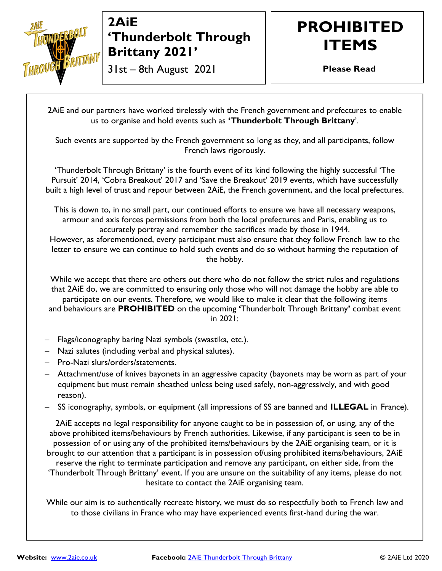

### 31st – 8th August 2021

# **PROHIBITED ITEMS**

**Please Read**

2AiE and our partners have worked tirelessly with the French government and prefectures to enable us to organise and hold events such as **'Thunderbolt Through Brittany**'.

Such events are supported by the French government so long as they, and all participants, follow French laws rigorously.

'Thunderbolt Through Brittany' is the fourth event of its kind following the highly successful 'The Pursuit' 2014, 'Cobra Breakout' 2017 and 'Save the Breakout' 2019 events, which have successfully built a high level of trust and repour between 2AiE, the French government, and the local prefectures.

This is down to, in no small part, our continued efforts to ensure we have all necessary weapons, armour and axis forces permissions from both the local prefectures and Paris, enabling us to accurately portray and remember the sacrifices made by those in 1944. However, as aforementioned, every participant must also ensure that they follow French law to the letter to ensure we can continue to hold such events and do so without harming the reputation of the hobby.

While we accept that there are others out there who do not follow the strict rules and regulations that 2AiE do, we are committed to ensuring only those who will not damage the hobby are able to participate on our events. Therefore, we would like to make it clear that the following items and behaviours are **PROHIBITED** on the upcoming **'**Thunderbolt Through Brittany**'** combat event in 2021:

- − Flags/iconography baring Nazi symbols (swastika, etc.).
- − Nazi salutes (including verbal and physical salutes).
- − Pro-Nazi slurs/orders/statements.
- − Attachment/use of knives bayonets in an aggressive capacity (bayonets may be worn as part of your equipment but must remain sheathed unless being used safely, non-aggressively, and with good reason).
- − SS iconography, symbols, or equipment (all impressions of SS are banned and **ILLEGAL** in France).

2AiE accepts no legal responsibility for anyone caught to be in possession of, or using, any of the above prohibited items/behaviours by French authorities. Likewise, if any participant is seen to be in possession of or using any of the prohibited items/behaviours by the 2AiE organising team, or it is brought to our attention that a participant is in possession of/using prohibited items/behaviours, 2AiE reserve the right to terminate participation and remove any participant, on either side, from the 'Thunderbolt Through Brittany' event. If you are unsure on the suitability of any items, please do not hesitate to contact the 2AiE organising team.

While our aim is to authentically recreate history, we must do so respectfully both to French law and to those civilians in France who may have experienced events first-hand during the war.